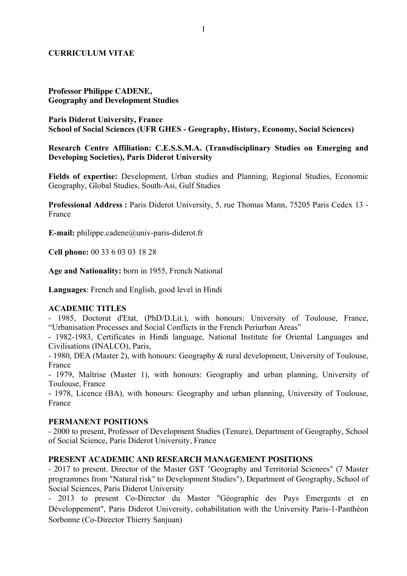## **CURRICULUM VITAE**

### **Professor Philippe CADENE, Geography and Development Studies**

**Paris Diderot University, France School of Social Sciences (UFR GHES - Geography, History, Economy, Social Sciences)**

**Research Centre Affiliation: C.E.S.S.M.A. (Transdisciplinary Studies on Emerging and Developing Societies), Paris Diderot University**

**Fields of expertise:** Development, Urban studies and Planning, Regional Studies, Economic Geography, Global Studies, South-Asi, Gulf Studies

**Professional Address :** Paris Diderot University, 5, rue Thomas Mann, 75205 Paris Cedex 13 - France

**E-mail:** philippe.cadene@univ-paris-diderot.fr

**Cell phone:** 00 33 6 03 03 18 28

**Age and Nationality:** born in 1955, French National

**Languages**: French and English, good level in Hindi

#### **ACADEMIC TITLES**

- 1985, Doctorat d'Etat, (PhD/D.Lit.), with honours: University of Toulouse, France, "Urbanisation Processes and Social Conflicts in the French Periurban Areas"

- 1982-1983, Certificates in Hindi language, National Institute for Oriental Languages and Civilisations (INALCO), Paris,

- 1980, DEA (Master 2), with honours: Geography & rural development, University of Toulouse, France

- 1979, Maîtrise (Master 1), with honours: Geography and urban planning, University of Toulouse, France

- 1978, Licence (BA), with honours: Geography and urban planning, University of Toulouse, France

#### **PERMANENT POSITIONS**

- 2000 to present, Professor of Development Studies (Tenure), Department of Geography, School of Social Science, Paris Diderot University, France

#### **PRESENT ACADEMIC AND RESEARCH MANAGEMENT POSITIONS**

- 2017 to present. Director of the Master GST "Geography and Territorial Scienees" (7 Master programmes from "Natural risk" to Development Studies"), Department of Geography, School of Social Sciences, Paris Diderot University

- 2013 to present Co-Director du Master "Géographie des Pays Emergents et en Développement", Paris Diderot University, cohabilitation with the University Paris-1-Panthéon Sorbonne (Co-Director Thierry Sanjuan)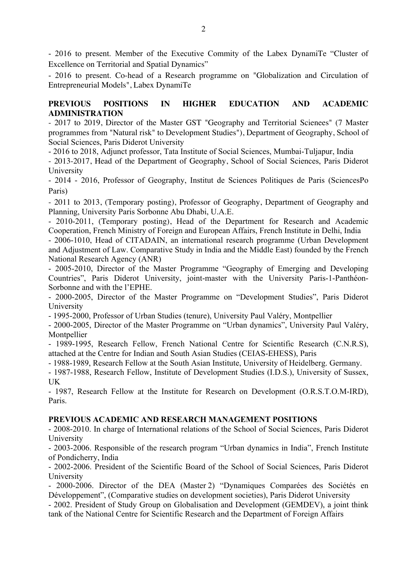- 2016 to present. Member of the Executive Commity of the Labex DynamiTe "Cluster of Excellence on Territorial and Spatial Dynamics"

- 2016 to present. Co-head of a Research programme on "Globalization and Circulation of Entrepreneurial Models", Labex DynamiTe

## **PREVIOUS POSITIONS IN HIGHER EDUCATION AND ACADEMIC ADMINISTRATION**

- 2017 to 2019, Director of the Master GST "Geography and Territorial Scienees" (7 Master programmes from "Natural risk" to Development Studies"), Department of Geography, School of Social Sciences, Paris Diderot University

- 2016 to 2018, Adjunct professor, Tata Institute of Social Sciences, Mumbai-Tuljapur, India

- 2013-2017, Head of the Department of Geography, School of Social Sciences, Paris Diderot University

- 2014 - 2016, Professor of Geography, Institut de Sciences Politiques de Paris (SciencesPo Paris)

- 2011 to 2013, (Temporary posting), Professor of Geography, Department of Geography and Planning, University Paris Sorbonne Abu Dhabi, U.A.E.

- 2010-2011, (Temporary posting), Head of the Department for Research and Academic Cooperation, French Ministry of Foreign and European Affairs, French Institute in Delhi, India

- 2006-1010, Head of CITADAIN, an international research programme (Urban Development and Adjustment of Law. Comparative Study in India and the Middle East) founded by the French National Research Agency (ANR)

- 2005-2010, Director of the Master Programme "Geography of Emerging and Developing Countries", Paris Diderot University, joint-master with the University Paris-1-Panthéon-Sorbonne and with the l'EPHE.

- 2000-2005, Director of the Master Programme on "Development Studies", Paris Diderot University

- 1995-2000, Professor of Urban Studies (tenure), University Paul Valéry, Montpellier

- 2000-2005, Director of the Master Programme on "Urban dynamics", University Paul Valéry, Montpellier

- 1989-1995, Research Fellow, French National Centre for Scientific Research (C.N.R.S), attached at the Centre for Indian and South Asian Studies (CEIAS-EHESS), Paris

- 1988-1989, Research Fellow at the South Asian Institute, University of Heidelberg. Germany.

- 1987-1988, Research Fellow, Institute of Development Studies (I.D.S.), University of Sussex, UK

- 1987, Research Fellow at the Institute for Research on Development (O.R.S.T.O.M-IRD), Paris.

## **PREVIOUS ACADEMIC AND RESEARCH MANAGEMENT POSITIONS**

- 2008-2010. In charge of International relations of the School of Social Sciences, Paris Diderot University

- 2003-2006. Responsible of the research program "Urban dynamics in India", French Institute of Pondicherry, India

- 2002-2006. President of the Scientific Board of the School of Social Sciences, Paris Diderot University

- 2000-2006. Director of the DEA (Master 2) "Dynamiques Comparées des Sociétés en Développement", (Comparative studies on development societies), Paris Diderot University

- 2002. President of Study Group on Globalisation and Development (GEMDEV), a joint think tank of the National Centre for Scientific Research and the Department of Foreign Affairs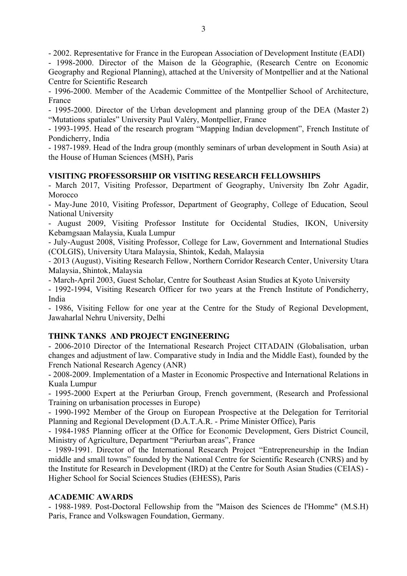- 2002. Representative for France in the European Association of Development Institute (EADI)

- 1998-2000. Director of the Maison de la Géographie, (Research Centre on Economic Geography and Regional Planning), attached at the University of Montpellier and at the National Centre for Scientific Research

- 1996-2000. Member of the Academic Committee of the Montpellier School of Architecture, France

- 1995-2000. Director of the Urban development and planning group of the DEA (Master 2) "Mutations spatiales" University Paul Valéry, Montpellier, France

- 1993-1995. Head of the research program "Mapping Indian development", French Institute of Pondicherry, India

- 1987-1989. Head of the Indra group (monthly seminars of urban development in South Asia) at the House of Human Sciences (MSH), Paris

## **VISITING PROFESSORSHIP OR VISITING RESEARCH FELLOWSHIPS**

- March 2017, Visiting Professor, Department of Geography, University Ibn Zohr Agadir, Morocco

- May-June 2010, Visiting Professor, Department of Geography, College of Education, Seoul National University

- August 2009, Visiting Professor Institute for Occidental Studies, IKON, University Kebamgsaan Malaysia, Kuala Lumpur

- July-August 2008, Visiting Professor, College for Law, Government and International Studies (COLGIS), University Utara Malaysia, Shintok, Kedah, Malaysia

- 2013 (August), Visiting Research Fellow, Northern Corridor Research Center, University Utara Malaysia, Shintok, Malaysia

- March-April 2003, Guest Scholar, Centre for Southeast Asian Studies at Kyoto University

- 1992-1994, Visiting Research Officer for two years at the French Institute of Pondicherry, India

- 1986, Visiting Fellow for one year at the Centre for the Study of Regional Development, Jawaharlal Nehru University, Delhi

# **THINK TANKS AND PROJECT ENGINEERING**

- 2006-2010 Director of the International Research Project CITADAIN (Globalisation, urban changes and adjustment of law. Comparative study in India and the Middle East), founded by the French National Research Agency (ANR)

- 2008-2009. Implementation of a Master in Economic Prospective and International Relations in Kuala Lumpur

- 1995-2000 Expert at the Periurban Group, French government, (Research and Professional Training on urbanisation processes in Europe)

- 1990-1992 Member of the Group on European Prospective at the Delegation for Territorial Planning and Regional Development (D.A.T.A.R. - Prime Minister Office), Paris

- 1984-1985 Planning officer at the Office for Economic Development, Gers District Council, Ministry of Agriculture, Department "Periurban areas", France

- 1989-1991. Director of the International Research Project "Entrepreneurship in the Indian middle and small towns" founded by the National Centre for Scientific Research (CNRS) and by the Institute for Research in Development (IRD) at the Centre for South Asian Studies (CEIAS) - Higher School for Social Sciences Studies (EHESS), Paris

## **ACADEMIC AWARDS**

- 1988-1989. Post-Doctoral Fellowship from the "Maison des Sciences de l'Homme" (M.S.H) Paris, France and Volkswagen Foundation, Germany.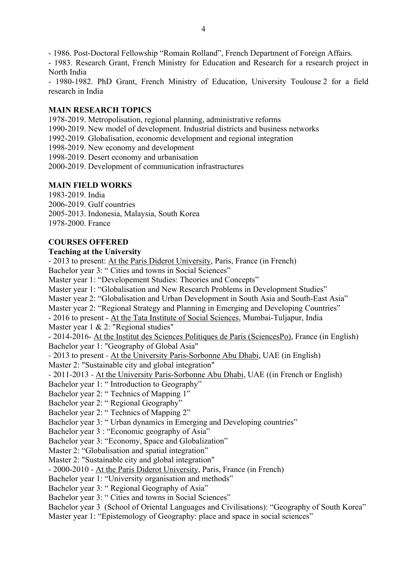- 1986. Post-Doctoral Fellowship "Romain Rolland", French Department of Foreign Affairs.

- 1983. Research Grant, French Ministry for Education and Research for a research project in North India

- 1980-1982. PhD Grant, French Ministry of Education, University Toulouse 2 for a field research in India

## **MAIN RESEARCH TOPICS**

1978-2019. Metropolisation, regional planning, administrative reforms

1990-2019. New model of development. Industrial districts and business networks

1992-2019. Globalisation, economic development and regional integration

1998-2019. New economy and development

1998-2019. Desert economy and urbanisation

2000-2019. Development of communication infrastructures

# **MAIN FIELD WORKS**

1983-2019. India

2006-2019. Gulf countries

2005-2013. Indonesia, Malaysia, South Korea

1978-2000. France

# **COURSES OFFERED**

## **Teaching at the University**

- 2013 to present: At the Paris Diderot University, Paris, France (in French) Bachelor year 3: " Cities and towns in Social Sciences" Master year 1: "Developement Studies: Theories and Concepts" Master year 1: "Globalisation and New Research Problems in Development Studies" Master year 2: "Globalisation and Urban Development in South Asia and South-East Asia" Master year 2: "Regional Strategy and Planning in Emerging and Developing Countries" - 2016 to present - At the Tata Institute of Social Sciences, Mumbai-Tuljapur, India Master year 1 & 2: "Regional studies" - 2014-2016- At the Institut des Sciences Politiques de Paris (SciencesPo), France (in English) Bachelor year 1: "Geography of Global Asia" - 2013 to present - At the University Paris-Sorbonne Abu Dhabi, UAE (in English) Master 2: "Sustainable city and global integration" - 2011-2013 - At the University Paris-Sorbonne Abu Dhabi, UAE ((in French or English) Bachelor year 1: " Introduction to Geography" Bachelor year 2: " Technics of Mapping 1" Bachelor year 2: " Regional Geography" Bachelor year 2: " Technics of Mapping 2" Bachelor year 3: " Urban dynamics in Emerging and Developing countries" Bachelor year 3 : "Economic geography of Asia" Bachelor year 3: "Economy, Space and Globalization" Master 2: "Globalisation and spatial integration" Master 2: "Sustainable city and global integration" - 2000-2010 - At the Paris Diderot University, Paris, France (in French) Bachelor year 1: "University organisation and methods" Bachelor year 3: " Regional Geography of Asia" Bachelor year 3: " Cities and towns in Social Sciences" Bachelor year 3 (School of Oriental Languages and Civilisations): "Geography of South Korea" Master year 1: "Epistemology of Geography: place and space in social sciences"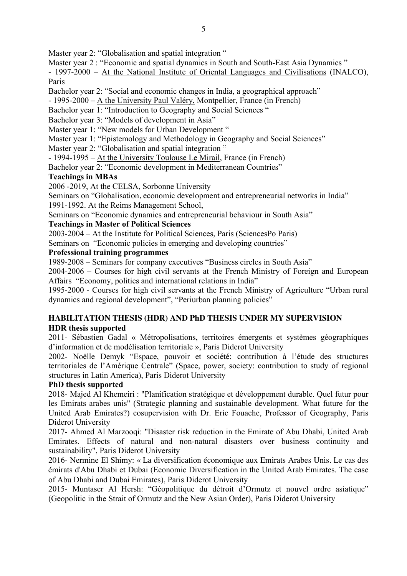Master year 2: "Globalisation and spatial integration "

Master year 2 : "Economic and spatial dynamics in South and South-East Asia Dynamics"

- 1997-2000 – At the National Institute of Oriental Languages and Civilisations (INALCO), Paris

Bachelor year 2: "Social and economic changes in India, a geographical approach"

- 1995-2000 –  $\overline{A}$  the University Paul Valéry, Montpellier, France (in French)

Bachelor year 1: "Introduction to Geography and Social Sciences "

Bachelor year 3: "Models of development in Asia"

Master year 1: "New models for Urban Development "

Master year 1: "Epistemology and Methodology in Geography and Social Sciences"

Master year 2: "Globalisation and spatial integration"

- 1994-1995 – At the University Toulouse Le Mirail, France (in French)

Bachelor year 2: "Economic development in Mediterranean Countries"

## **Teachings in MBAs**

2006 -2019, At the CELSA, Sorbonne University

Seminars on "Globalisation, economic development and entrepreneurial networks in India"

1991-1992. At the Reims Management School,

Seminars on "Economic dynamics and entrepreneurial behaviour in South Asia"

# **Teachings in Master of Political Sciences**

2003-2004 – At the Institute for Political Sciences, Paris (SciencesPo Paris)

Seminars on "Economic policies in emerging and developing countries"

## **Professional training programmes**

1989-2008 – Seminars for company executives "Business circles in South Asia"

2004-2006 – Courses for high civil servants at the French Ministry of Foreign and European Affairs "Economy, politics and international relations in India"

1995-2000 - Courses for high civil servants at the French Ministry of Agriculture "Urban rural dynamics and regional development", "Periurban planning policies"

# **HABILITATION THESIS (HDR) AND PhD THESIS UNDER MY SUPERVISION HDR thesis supported**

2011- Sébastien Gadal « Métropolisations, territoires émergents et systèmes géographiques d'information et de modélisation territoriale », Paris Diderot University

2002- Noëlle Demyk "Espace, pouvoir et société: contribution à l'étude des structures territoriales de l'Amérique Centrale" (Space, power, society: contribution to study of regional structures in Latin America), Paris Diderot University

# **PhD thesis supported**

2018- Majed Al Khemeiri : "Planification stratégique et développement durable. Quel futur pour les Emirats arabes unis" (Strategic planning and sustainable development. What future for the United Arab Emirates?) cosupervision with Dr. Eric Fouache, Professor of Geography, Paris Diderot University

2017- Ahmed Al Marzooqi: "Disaster risk reduction in the Emirate of Abu Dhabi, United Arab Emirates. Effects of natural and non-natural disasters over business continuity and sustainability", Paris Diderot University

2016- Nermine El Shimy: « La diversification économique aux Emirats Arabes Unis. Le cas des émirats d'Abu Dhabi et Dubai (Economic Diversification in the United Arab Emirates. The case of Abu Dhabi and Dubai Emirates), Paris Diderot University

2015- Muntaser Al Hersh: "Géopolitique du détroit d'Ormutz et nouvel ordre asiatique" (Geopolitic in the Strait of Ormutz and the New Asian Order), Paris Diderot University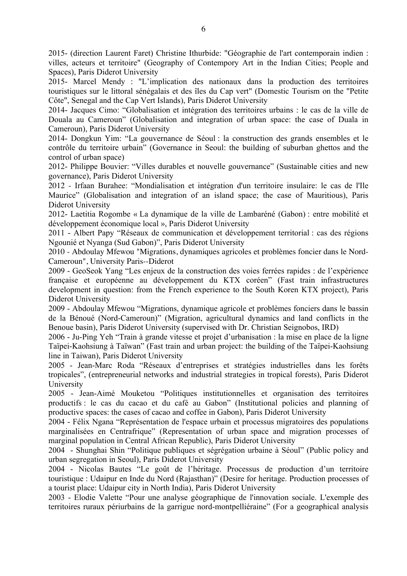2015- (direction Laurent Faret) Christine Ithurbide: "Géographie de l'art contemporain indien : villes, acteurs et territoire" (Geography of Contempory Art in the Indian Cities; People and Spaces), Paris Diderot University

2015- Marcel Mendy : "L'implication des nationaux dans la production des territoires touristiques sur le littoral sénégalais et des îles du Cap vert" (Domestic Tourism on the "Petite Côte", Senegal and the Cap Vert Islands), Paris Diderot University

2014- Jacques Cimo: "Globalisation et intégration des territoires urbains : le cas de la ville de Douala au Cameroun" (Globalisation and integration of urban space: the case of Duala in Cameroun), Paris Diderot University

2014- Dongkun Yim: "La gouvernance de Séoul : la construction des grands ensembles et le contrôle du territoire urbain" (Governance in Seoul: the building of suburban ghettos and the control of urban space)

2012- Philippe Bouvier: "Villes durables et nouvelle gouvernance" (Sustainable cities and new governance), Paris Diderot University

2012 - Irfaan Burahee: "Mondialisation et intégration d'un territoire insulaire: le cas de l'Ile Maurice" (Globalisation and integration of an island space; the case of Mauritious), Paris Diderot University

2012- Laetitia Rogombe « La dynamique de la ville de Lambaréné (Gabon) : entre mobilité et développement économique local », Paris Diderot University

2011 - Albert Papy "Réseaux de communication et développement territorial : cas des régions Ngounié et Nyanga (Sud Gabon)", Paris Diderot University

2010 - Abdoulay Mfewou "Migrations, dynamiques agricoles et problèmes foncier dans le Nord-Cameroun", University Paris--Diderot

2009 - GeoSeok Yang "Les enjeux de la construction des voies ferrées rapides : de l'expérience française et européenne au développement du KTX coréen" (Fast train infrastructures development in question: from the French experience to the South Koren KTX project), Paris Diderot University

2009 - Abdoulay Mfewou "Migrations, dynamique agricole et problèmes fonciers dans le bassin de la Bénoué (Nord-Cameroun)" (Migration, agricultural dynamics and land conflicts in the Benoue basin), Paris Diderot University (supervised with Dr. Christian Seignobos, IRD)

2006 - Ju-Ping Yeh "Train à grande vitesse et projet d'urbanisation : la mise en place de la ligne Taïpei-Kaohsiung à Taïwan" (Fast train and urban project: the building of the Taïpei-Kaohsiung line in Taiwan), Paris Diderot University

2005 - Jean-Marc Roda "Réseaux d'entreprises et stratégies industrielles dans les forêts tropicales", (entrepreneurial networks and industrial strategies in tropical forests), Paris Diderot University

2005 - Jean-Aimé Mouketou "Politiques institutionnelles et organisation des territoires productifs : le cas du cacao et du café au Gabon" (Institutional policies and planning of productive spaces: the cases of cacao and coffee in Gabon), Paris Diderot University

2004 - Félix Ngana "Représentation de l'espace urbain et processus migratoires des populations marginalisées en Centrafrique" (Representation of urban space and migration processes of marginal population in Central African Republic), Paris Diderot University

2004 - Shunghai Shin "Politique publiques et ségrégation urbaine à Séoul" (Public policy and urban segregation in Seoul), Paris Diderot University

2004 - Nicolas Bautes "Le goût de l'héritage. Processus de production d'un territoire touristique : Udaipur en Inde du Nord (Rajasthan)" (Desire for heritage. Production processes of a tourist place: Udaipur city in North India), Paris Diderot University

2003 - Elodie Valette "Pour une analyse géographique de l'innovation sociale. L'exemple des territoires ruraux périurbains de la garrigue nord-montpelliéraine" (For a geographical analysis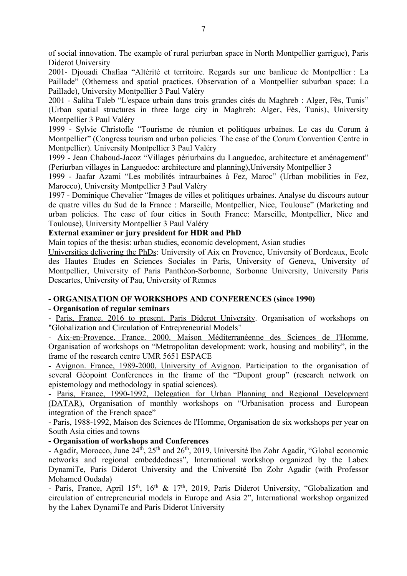of social innovation. The example of rural periurban space in North Montpellier garrigue), Paris Diderot University

2001- Djouadi Chafiaa "Altérité et territoire. Regards sur une banlieue de Montpellier : La Paillade" (Otherness and spatial practices. Observation of a Montpellier suburban space: La Paillade), University Montpellier 3 Paul Valéry

2001 - Saliha Taleb "L'espace urbain dans trois grandes cités du Maghreb : Alger, Fès, Tunis" (Urban spatial structures in three large city in Maghreb: Alger, Fès, Tunis), University Montpellier 3 Paul Valéry

1999 - Sylvie Christofle "Tourisme de réunion et politiques urbaines. Le cas du Corum à Montpellier" (Congress tourism and urban policies. The case of the Corum Convention Centre in Montpellier). University Montpellier 3 Paul Valéry

1999 - Jean Chaboud-Jacoz "Villages périurbains du Languedoc, architecture et aménagement" (Periurban villages in Languedoc: architecture and planning),University Montpellier 3

1999 - Jaafar Azami "Les mobilités intraurbaines à Fez, Maroc" (Urban mobilities in Fez, Marocco), University Montpellier 3 Paul Valéry

1997 - Dominique Chevalier "Images de villes et politiques urbaines. Analyse du discours autour de quatre villes du Sud de la France : Marseille, Montpellier, Nice, Toulouse" (Marketing and urban policies. The case of four cities in South France: Marseille, Montpellier, Nice and Toulouse), University Montpellier 3 Paul Valéry

## **External examiner or jury president for HDR and PhD**

Main topics of the thesis: urban studies, economic development, Asian studies

Universities delivering the PhDs: University of Aix en Provence, University of Bordeaux, Ecole des Hautes Etudes en Sciences Sociales in Paris, University of Geneva, University of Montpellier, University of Paris Panthéon-Sorbonne, Sorbonne University, University Paris Descartes, University of Pau, University of Rennes

## **- ORGANISATION OF WORKSHOPS AND CONFERENCES (since 1990)**

## **- Organisation of regular seminars**

- Paris, France. 2016 to present. Paris Diderot University. Organisation of workshops on "Globalization and Circulation of Entrepreneurial Models"

- Aix-en-Provence. France. 2000. Maison Méditerranéenne des Sciences de l'Homme. Organisation of workshops on "Metropolitan development: work, housing and mobility", in the frame of the research centre UMR 5651 ESPACE

- Avignon. France, 1989-2000, University of Avignon. Participation to the organisation of several Géopoint Conferences in the frame of the "Dupont group" (research network on epistemology and methodology in spatial sciences).

- Paris, France, 1990-1992, Delegation for Urban Planning and Regional Development (DATAR), Organisation of monthly workshops on "Urbanisation process and European integration of the French space"

- Paris, 1988-1992, Maison des Sciences de l'Homme, Organisation de six workshops per year on South Asia cities and towns

**- Organisation of workshops and Conferences**

- Agadir, Morocco, June 24<sup>th</sup>, 25<sup>th</sup> and 26<sup>th</sup>, 2019, Université Ibn Zohr Agadir, "Global economic networks and regional embeddedness", International workshop organized by the Labex DynamiTe, Paris Diderot University and the Université Ibn Zohr Agadir (with Professor Mohamed Oudada)

- Paris, France, April 15<sup>th</sup>, 16<sup>th</sup> & 17<sup>th</sup>, 2019, Paris Diderot University, "Globalization and circulation of entrepreneurial models in Europe and Asia 2", International workshop organized by the Labex DynamiTe and Paris Diderot University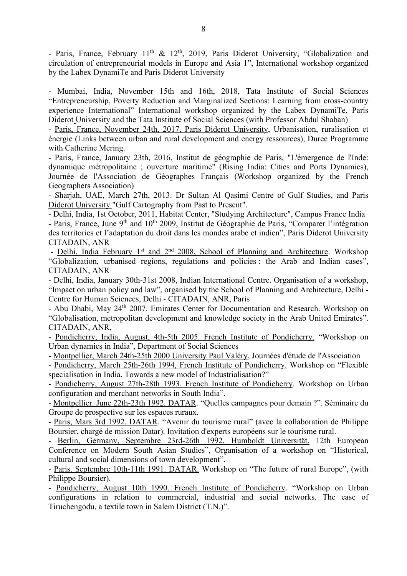- Paris, France, February 11<sup>th</sup> & 12<sup>th</sup>, 2019, Paris Diderot University, "Globalization and circulation of entrepreneurial models in Europe and Asia 1", International workshop organized by the Labex DynamiTe and Paris Diderot University

- Mumbai, India, November 15th and 16th, 2018, Tata Institute of Social Sciences "Entrepreneurship, Poverty Reduction and Marginalized Sections: Learning from cross-country experience International" International workshop organized by the Labex DynamiTe, Paris Diderot University and the Tata Institute of Social Sciences (with Professor Abdul Shaban)

- Paris, France, November 24th, 2017, Paris Diderot University, Urbanisation, ruralisation et énergie (Links between urban and rural development and energy ressources), Duree Programme with Catherine Mering.

- Paris, France, January 23th, 2016, Institut de géographie de Paris, "L'émergence de l'Inde: dynamique métropolitaine ; ouverture maritime" (Rising India: Cities and Ports Dynamics), Journée de l'Association de Géographes Français (Workshop organized by the French Geographers Association)

- Sharjah, UAE, March 27th, 2013. Dr Sultan Al Qasimi Centre of Gulf Studies, and Paris Diderot University "Gulf Cartography from Past to Present".

- Delhi, India, 1st October, 2011, Habitat Center, "Studying Architecture", Campus France India

- Paris, France, June 9<sup>th</sup> and 10<sup>th</sup> 2009, Institut de Géographie de Paris, "Comparer l'intégration des territories et l'adaptation du droit dans les mondes arabe et indien", Paris Diderot University CITADAIN, ANR

- Delhi, India February 1<sup>st</sup> and 2<sup>nd</sup> 2008, School of Planning and Architecture. Workshop "Globalization, urbanised regions, regulations and policies : the Arab and Indian cases", CITADAIN, ANR

- Delhi, India, January 30th-31st 2008, Indian International Centre. Organisation of a workshop, "Impact on urban policy and law", organised by the School of Planning and Architecture, Delhi - Centre for Human Sciences, Delhi - CITADAIN, ANR, Paris

- Abu Dhabi, May 24<sup>th</sup> 2007. Emirates Center for Documentation and Research. Workshop on "Globalisation, metropolitan development and knowledge society in the Arab United Emirates". CITADAIN, ANR,

- Pondicherry, India, August, 4th-5th 2005. French Institute of Pondicherry. "Workshop on Urban dynamics in India", Department of Social Sciences

- Montpellier, March 24th-25th 2000 University Paul Valéry, Journées d'étude de l'Association

- Pondicherry, March 25th-26th 1994, French Institute of Pondicherry. Workshop on "Flexible specialisation in India. Towards a new model of Industrialisation?"

- Pondicherry, August 27th-28th 1993. French Institute of Pondicherry. Workshop on Urban configuration and merchant networks in South India".

- Montpellier. June 22th-23th 1992. DATAR. "Quelles campagnes pour demain ?". Séminaire du Groupe de prospective sur les espaces ruraux.

- Paris, Mars 3rd 1992. DATAR. "Avenir du tourisme rural" (avec la collaboration de Philippe Boursier, chargé de mission Datar). Invitation d'experts européens sur le tourisme rural.

- Berlin, Germany, Septembre 23rd-26th 1992. Humboldt Universität. 12th European Conference on Modern South Asian Studies", Organisation of a workshop on "Historical, cultural and social dimensions of town development".

- Paris. Septembre 10th-11th 1991. DATAR. Workshop on "The future of rural Europe", (with Philippe Boursier).

- Pondicherry, August 10th 1990. French Institute of Pondicherry. "Workshop on Urban configurations in relation to commercial, industrial and social networks. The case of Tiruchengodu, a textile town in Salem District (T.N.)".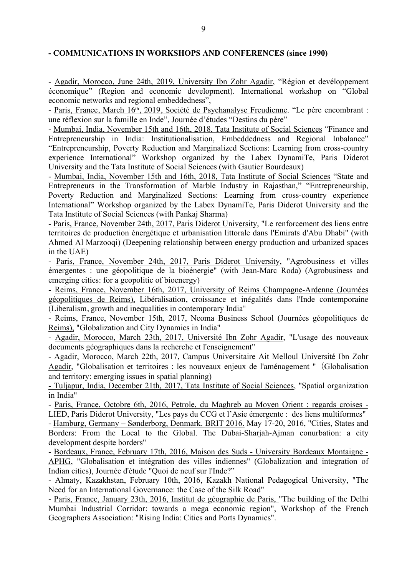#### **- COMMUNICATIONS IN WORKSHOPS AND CONFERENCES (since 1990)**

- Agadir, Morocco, June 24th, 2019, University Ibn Zohr Agadir, "Région et devéloppement économique" (Region and economic development). International workshop on "Global economic networks and regional embeddedness",

- Paris, France, March 16<sup>th</sup>, 2019, Société de Psychanalyse Freudienne. "Le père encombrant : une réflexion sur la famille en Inde", Journée d'études "Destins du père"

- Mumbai, India, November 15th and 16th, 2018, Tata Institute of Social Sciences "Finance and Entrepreneurship in India: Institutionalisation, Embeddedness and Regional Inbalance" "Entrepreneurship, Poverty Reduction and Marginalized Sections: Learning from cross-country experience International" Workshop organized by the Labex DynamiTe, Paris Diderot University and the Tata Institute of Social Sciences (with Gautier Bourdeaux)

- Mumbai, India, November 15th and 16th, 2018, Tata Institute of Social Sciences "State and Entrepreneurs in the Transformation of Marble Industry in Rajasthan," "Entrepreneurship, Poverty Reduction and Marginalized Sections: Learning from cross-country experience International" Workshop organized by the Labex DynamiTe, Paris Diderot University and the Tata Institute of Social Sciences (with Pankaj Sharma)

- Paris, France, November 24th, 2017, Paris Diderot University, "Le renforcement des liens entre territoires de production énergétique et urbanisation littorale dans l'Emirats d'Abu Dhabi" (with Ahmed Al Marzooqi) (Deepening relationship between energy production and urbanized spaces in the UAE)

- Paris, France, November 24th, 2017, Paris Diderot University, "Agrobusiness et villes émergentes : une géopolitique de la bioénergie" (with Jean-Marc Roda) (Agrobusiness and emerging cities: for a geopolitic of bioenergy)

- Reims, France, November 16th, 2017, University of Reims Champagne-Ardenne (Journées géopolitiques de Reims), Libéralisation, croissance et inégalités dans l'Inde contemporaine (Liberalism, growth and inequalities in contemporary India"

- Reims, France, November 15th, 2017, Neoma Business School (Journées géopolitiques de Reims), "Globalization and City Dynamics in India"

- Agadir, Morocco, March 23th, 2017, Université Ibn Zohr Agadir, "L'usage des nouveaux documents géographiques dans la recherche et l'enseignement"

- Agadir, Morocco, March 22th, 2017, Campus Universitaire Ait Melloul Université Ibn Zohr Agadir, "Globalisation et territoires : les nouveaux enjeux de l'aménagement " (Globalisation and territory: emerging issues in spatial planning)

- Tuljapur, India, December 21th, 2017, Tata Institute of Social Sciences, "Spatial organization in India"

- Paris, France, Octobre 6th, 2016, Petrole, du Maghreb au Moyen Orient : regards croises - LIED, Paris Diderot University, "Les pays du CCG et l'Asie émergente : des liens multiformes"

- Hamburg, Germany – Sønderborg, Denmark. BRIT 2016. May 17-20, 2016, "Cities, States and Borders: From the Local to the Global. The Dubai-Sharjah-Ajman conurbation: a city development despite borders"

- Bordeaux, France, February 17th, 2016, Maison des Suds - University Bordeaux Montaigne - APHG, "Globalisation et intégration des villes indiennes" (Globalization and integration of Indian cities), Journée d'étude "Quoi de neuf sur l'Inde?"

- Almaty, Kazakhstan, February 10th, 2016, Kazakh National Pedagogical University, "The Need for an International Governance: the Case of the Silk Road"

- Paris, France, January 23th, 2016, Institut de géographie de Paris, "The building of the Delhi Mumbai Industrial Corridor: towards a mega economic region", Workshop of the French Geographers Association: "Rising India: Cities and Ports Dynamics".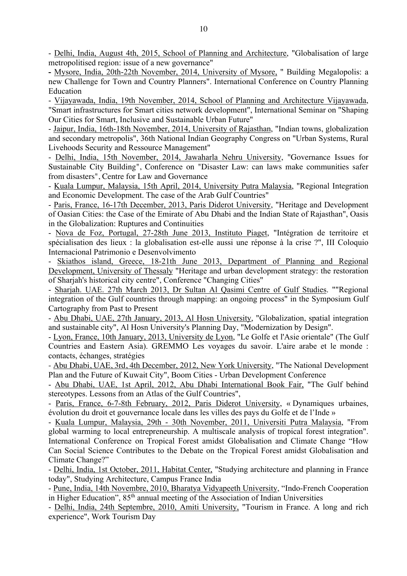- Delhi, India, August 4th, 2015, School of Planning and Architecture, "Globalisation of large metropolitised region: issue of a new governance"

**-** Mysore, India, 20th-22th November, 2014, University of Mysore, " Building Megalopolis: a new Challenge for Town and Country Planners". International Conference on Country Planning Education

- Vijayawada, India, 19th November, 2014, School of Planning and Architecture Vijayawada, "Smart infrastructures for Smart cities network development", International Seminar on "Shaping Our Cities for Smart, Inclusive and Sustainable Urban Future"

- Jaipur, India, 16th-18th November, 2014, University of Rajasthan, "Indian towns, globalization and secondary metropolis", 36th National Indian Geography Congress on "Urban Systems, Rural Livehoods Security and Ressource Management"

- Delhi, India, 15th November, 2014, Jawaharla Nehru University, "Governance Issues for Sustainable City Building", Conference on "Disaster Law: can laws make communities safer from disasters", Centre for Law and Governance

- Kuala Lumpur, Malaysia, 15th April, 2014, University Putra Malaysia, "Regional Integration and Economic Development. The case of the Arab Gulf Countries"

- Paris, France, 16-17th December, 2013, Paris Diderot University, "Heritage and Development of Oasian Cities: the Case of the Emirate of Abu Dhabi and the Indian State of Rajasthan", Oasis in the Globalization: Ruptures and Continuities

- Nova de Foz, Portugal, 27-28th June 2013, Instituto Piaget, "Intégration de territoire et spécialisation des lieux : la globalisation est-elle aussi une réponse à la crise ?", III Coloquio Internacional Patrimonio e Desenvolvimento

Skiathos island, Greece, 18-21th June 2013, Department of Planning and Regional Development, University of Thessaly "Heritage and urban development strategy: the restoration of Sharjah's historical city centre", Conference "Changing Cities"

- Sharjah. UAE. 27th March 2013, Dr Sultan Al Qasimi Centre of Gulf Studies. ""Regional integration of the Gulf countries through mapping: an ongoing process" in the Symposium Gulf Cartography from Past to Present

- Abu Dhabi, UAE, 27th January, 2013, Al Hosn University, "Globalization, spatial integration and sustainable city", Al Hosn University's Planning Day, "Modernization by Design".

- Lyon, France, 10th January, 2013, University de Lyon, "Le Golfe et l'Asie orientale" (The Gulf Countries and Eastern Asia). GREMMO Les voyages du savoir. L'aire arabe et le monde : contacts, échanges, stratégies

- Abu Dhabi, UAE, 3rd, 4th December, 2012, New York University, "The National Development Plan and the Future of Kuwait City", Boom Cities - Urban Development Conference

- Abu Dhabi, UAE, 1st April, 2012, Abu Dhabi International Book Fair, "The Gulf behind stereotypes. Lessons from an Atlas of the Gulf Countries",

- Paris, France, 6-7-8th February, 2012, Paris Diderot University, « Dynamiques urbaines, évolution du droit et gouvernance locale dans les villes des pays du Golfe et de l'Inde »

- Kuala Lumpur, Malaysia, 29th - 30th November, 2011, Universiti Putra Malaysia, "From global warming to local entrepreneurship. A multiscale analysis of tropical forest integration". International Conference on Tropical Forest amidst Globalisation and Climate Change "How Can Social Science Contributes to the Debate on the Tropical Forest amidst Globalisation and Climate Change?"

- Delhi, India, 1st October, 2011, Habitat Center, "Studying architecture and planning in France today", Studying Architecture, Campus France India

- Pune, India, 14th Novembre, 2010, Bharatya Vidyapeeth University, "Indo-French Cooperation in Higher Education", 85<sup>th</sup> annual meeting of the Association of Indian Universities

- Delhi, India, 24th Septembre, 2010, Amiti University, "Tourism in France. A long and rich experience", Work Tourism Day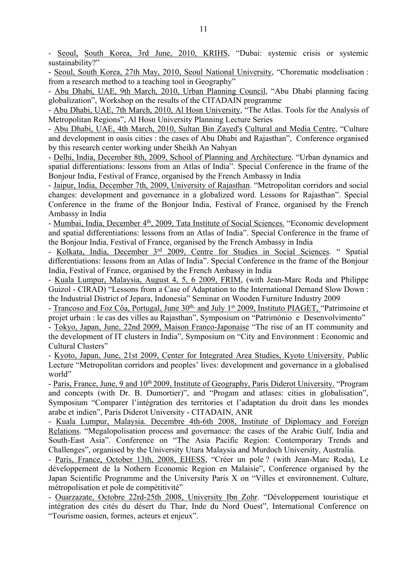- Seoul, South Korea, 3rd June, 2010, KRIHS, "Dubai: systemic crisis or systemic sustainability?"

- Seoul, South Korea, 27th May, 2010, Seoul National University, "Chorematic modelisation : from a research method to a teaching tool in Geography"

- Abu Dhabi, UAE, 9th March, 2010, Urban Planning Council, "Abu Dhabi planning facing globalization", Workshop on the results of the CITADAIN programme

- Abu Dhabi, UAE, 7th March, 2010, Al Hosn University, "The Atlas. Tools for the Analysis of Metropolitan Regions", Al Hosn University Planning Lecture Series

- Abu Dhabi, UAE, 4th March, 2010, Sultan Bin Zayed's Cultural and Media Centre, "Culture and development in oasis cities : the cases of Abu Dhabi and Rajasthan", Conference organised by this research center working under Sheikh An Nahyan

- Delhi, India, December 8th, 2009, School of Planning and Architecture. "Urban dynamics and spatial differentiations: lessons from an Atlas of India". Special Conference in the frame of the Bonjour India, Festival of France, organised by the French Ambassy in India

- Jaipur, India, December 7th, 2009, University of Rajasthan. "Metropolitan corridors and social changes: development and governance in a globalized word. Lessons for Rajasthan". Special Conference in the frame of the Bonjour India, Festival of France, organised by the French Ambassy in India

- Mumbai, India, December 4<sup>th</sup>, 2009, Tata Institute of Social Sciences. "Economic development and spatial differentiations: lessons from an Atlas of India". Special Conference in the frame of the Bonjour India, Festival of France, organised by the French Ambassy in India

- Kolkata, India, December 3rd 2009, Centre for Studies in Social Sciences. " Spatial differentiations: lessons from an Atlas of India". Special Conference in the frame of the Bonjour India, Festival of France, organised by the French Ambassy in India

- Kuala Lumpur, Malaysia, August 4, 5, 6 2009, FRIM, (with Jean-Marc Roda and Philippe Guizol - CIRAD) "Lessons from a Case of Adaptation to the International Demand Slow Down : the Industrial District of Jepara, Indonesia" Seminar on Wooden Furniture Industry 2009

- Trancoso and Foz Côa, Portugal, June 30<sup>th,</sup> and July 1<sup>st</sup> 2009, Instituto PIAGET, "Patrimoine et projet urbain : le cas des villes au Rajasthan", Symposium on "Património e Desenvolvimento"

- Tokyo, Japan, June, 22nd 2009, Maison Franco-Japonaise "The rise of an IT community and the development of IT clusters in India", Symposium on "City and Environment : Economic and Cultural Clusters"

- Kyoto, Japan, June, 21st 2009, Center for Integrated Area Studies, Kyoto University. Public Lecture "Metropolitan corridors and peoples' lives: development and governance in a globalised world"

- Paris, France, June, 9 and 10<sup>th</sup> 2009, Institute of Geography, Paris Diderot University. "Program and concepts (with Dr. B. Dumortier)", and "Progam and atlases: cities in globalisation", Symposium "Comparer l'intégration des territories et l'adaptation du droit dans les mondes arabe et indien", Paris Diderot University - CITADAIN, ANR

- Kuala Lumpur, Malaysia. Decembre 4th-6th 2008, Institute of Diplomacy and Foreign Relations. "Megalopolisation process and governance: the cases of the Arabic Gulf, India and South-East Asia". Conference on "The Asia Pacific Region: Contemporary Trends and Challenges", organised by the University Utara Malaysia and Murdoch University, Australia.

- Paris, France, October 13th, 2008, EHESS, "Créer un pole ? (with Jean-Marc Roda), Le développement de la Nothern Economic Region en Malaisie", Conference organised by the Japan Scientific Programme and the University Paris X on "Villes et environnement. Culture, métropolisation et pole de compétitivité"

- Ouarzazate, Octobre 22rd-25th 2008, University Ibn Zohr. "Développement touristique et intégration des cités du désert du Thar, Inde du Nord Ouest", International Conference on "Tourisme oasien, formes, acteurs et enjeux".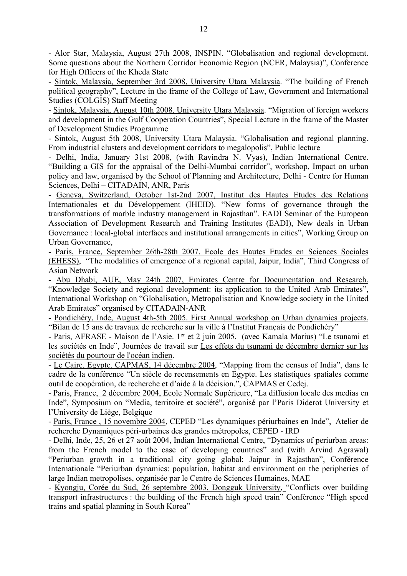- Alor Star, Malaysia, August 27th 2008, INSPIN. "Globalisation and regional development. Some questions about the Northern Corridor Economic Region (NCER, Malaysia)", Conference for High Officers of the Kheda State

- Sintok, Malaysia, September 3rd 2008, University Utara Malaysia. "The building of French political geography", Lecture in the frame of the College of Law, Government and International Studies (COLGIS) Staff Meeting

- Sintok, Malaysia, August 10th 2008, University Utara Malaysia. "Migration of foreign workers and development in the Gulf Cooperation Countries", Special Lecture in the frame of the Master of Development Studies Programme

- Sintok, August 5th 2008, University Utara Malaysia. "Globalisation and regional planning. From industrial clusters and development corridors to megalopolis", Public lecture

- Delhi, India, January 31st 2008, (with Ravindra N. Vyas), Indian International Centre. "Building a GIS for the appraisal of the Delhi-Mumbai corridor", workshop, Impact on urban policy and law, organised by the School of Planning and Architecture, Delhi - Centre for Human Sciences, Delhi – CITADAIN, ANR, Paris

- Geneva, Switzerland, October 1st-2nd 2007, Institut des Hautes Etudes des Relations Internationales et du Développement (IHEID). "New forms of governance through the transformations of marble industry management in Rajasthan". EADI Seminar of the European Association of Development Research and Training Institutes (EADI), New deals in Urban Governance : local-global interfaces and institutional arrangements in cities", Working Group on Urban Governance,

- Paris, France, September 26th-28th 2007, Ecole des Hautes Etudes en Sciences Sociales (EHESS), "The modalities of emergence of a regional capital, Jaipur, India", Third Congress of Asian Network

- Abu Dhabi, AUE, May 24th 2007, Emirates Centre for Documentation and Research. "Knowledge Society and regional development: its application to the United Arab Emirates", International Workshop on "Globalisation, Metropolisation and Knowledge society in the United Arab Emirates" organised by CITADAIN-ANR

- Pondichéry, Inde, August 4th-5th 2005. First Annual workshop on Urban dynamics projects. "Bilan de 15 ans de travaux de recherche sur la ville à l'Institut Français de Pondichéry"

- Paris, AFRASE - Maison de l'Asie. 1<sup>er</sup> et 2 juin 2005. (avec Kamala Marius) "Le tsunami et les sociétés en Inde", Journées de travail sur Les effets du tsunami de décembre dernier sur les sociétés du pourtour de l'océan indien.

- Le Caire, Egypte, CAPMAS, 14 décembre 2004, "Mapping from the census of India", dans le cadre de la conférence "Un siècle de recensements en Egypte. Les statistiques spatiales comme outil de coopération, de recherche et d'aide à la décision.", CAPMAS et Cedej.

- Paris, France, 2 décembre 2004, Ecole Normale Supérieure, "La diffusion locale des medias en Inde", Symposium on "Media, territoire et société", organisé par l'Paris Diderot University et l'University de Liège, Belgique

- Paris, France , 15 novembre 2004, CEPED "Les dynamiques périurbaines en Inde", Atelier de recherche Dynamiques péri-urbaines des grandes métropoles, CEPED - IRD

- Delhi, Inde, 25, 26 et 27 août 2004, Indian International Centre, "Dynamics of periurban areas: from the French model to the case of developing countries" and (with Arvind Agrawal) "Periurban growth in a traditional city going global: Jaipur in Rajasthan", Conférence Internationale "Periurban dynamics: population, habitat and environment on the peripheries of large Indian metropolises, organisée par le Centre de Sciences Humaines, MAE

- Kyongju, Corée du Sud, 26 septembre 2003. Dongguk University, "Conflicts over building transport infrastructures : the building of the French high speed train" Conférence "High speed trains and spatial planning in South Korea"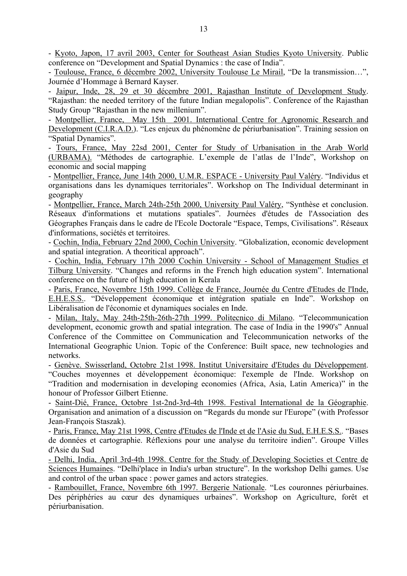- Kyoto, Japon, 17 avril 2003, Center for Southeast Asian Studies Kyoto University. Public conference on "Development and Spatial Dynamics : the case of India".

- Toulouse, France, 6 décembre 2002, University Toulouse Le Mirail, "De la transmission…", Journée d'Hommage à Bernard Kayser.

- Jaipur, Inde, 28, 29 et 30 décembre 2001, Rajasthan Institute of Development Study. "Rajasthan: the needed territory of the future Indian megalopolis". Conference of the Rajasthan Study Group "Rajasthan in the new millenium".

- Montpellier, France, May 15th 2001. International Centre for Agronomic Research and Development (C.I.R.A.D.). "Les enjeux du phénomène de périurbanisation". Training session on "Spatial Dynamics".

- Tours, France, May 22sd 2001, Center for Study of Urbanisation in the Arab World (URBAMA). "Méthodes de cartographie. L'exemple de l'atlas de l'Inde", Workshop on economic and social mapping

- Montpellier, France, June 14th 2000, U.M.R. ESPACE - University Paul Valéry. "Individus et organisations dans les dynamiques territoriales". Workshop on The Individual determinant in geography

- Montpellier, France, March 24th-25th 2000, University Paul Valéry, "Synthèse et conclusion. Réseaux d'informations et mutations spatiales". Journées d'études de l'Association des Géographes Français dans le cadre de l'Ecole Doctorale "Espace, Temps, Civilisations". Réseaux d'informations, sociétés et territoires.

- Cochin, India, February 22nd 2000, Cochin University. "Globalization, economic development and spatial integration. A theoritical approach".

- Cochin, India, February 17th 2000 Cochin University - School of Management Studies et Tilburg University. "Changes and reforms in the French high education system". International conference on the future of high education in Kerala

- Paris, France, Novembre 15th 1999. Collège de France, Journée du Centre d'Etudes de l'Inde, E.H.E.S.S.. "Développement économique et intégration spatiale en Inde". Workshop on Libéralisation de l'économie et dynamiques sociales en Inde.

- Milan, Italy, May 24th-25th-26th-27th 1999. Politecnico di Milano. "Telecommunication development, economic growth and spatial integration. The case of India in the 1990's" Annual Conference of the Committee on Communication and Telecommunication networks of the International Geographic Union. Topic of the Conference: Built space, new technologies and networks.

- Genève. Swisserland, Octobre 21st 1998. Institut Universitaire d'Etudes du Développement. "Couches moyennes et développement économique: l'exemple de l'Inde. Workshop on "Tradition and modernisation in developing economies (Africa, Asia, Latin America)" in the honour of Professor Gilbert Etienne.

- Saint-Dié, France, Octobre 1st-2nd-3rd-4th 1998. Festival International de la Géographie. Organisation and animation of a discussion on "Regards du monde sur l'Europe" (with Professor Jean-François Staszak).

- Paris, France, May 21st 1998, Centre d'Etudes de l'Inde et de l'Asie du Sud, E.H.E.S.S.. "Bases de données et cartographie. Réflexions pour une analyse du territoire indien". Groupe Villes d'Asie du Sud

- Delhi, India, April 3rd-4th 1998. Centre for the Study of Developing Societies et Centre de Sciences Humaines. "Delhi'place in India's urban structure". In the workshop Delhi games. Use and control of the urban space : power games and actors strategies.

- Rambouillet, France, Novembre 6th 1997. Bergerie Nationale. "Les couronnes périurbaines. Des périphéries au cœur des dynamiques urbaines". Workshop on Agriculture, forêt et périurbanisation.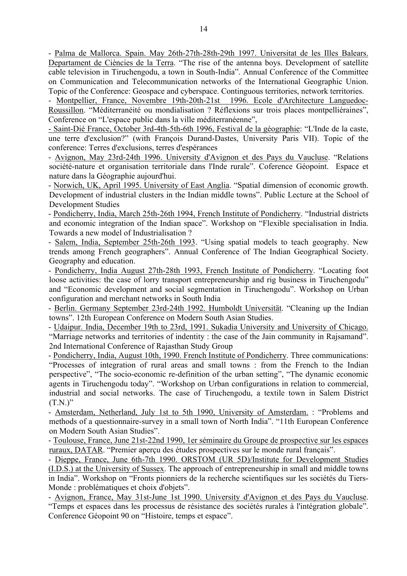- Palma de Mallorca. Spain. May 26th-27th-28th-29th 1997. Universitat de les Illes Balears. Departament de Ciències de la Terra. "The rise of the antenna boys. Development of satellite cable television in Tiruchengodu, a town in South-India". Annual Conference of the Committee on Communication and Telecommunication networks of the International Geographic Union. Topic of the Conference: Geospace and cyberspace. Continguous territories, network territories.

- Montpellier, France, Novembre 19th-20th-21st 1996. Ecole d'Architecture Languedoc-Roussillon. "Méditerranéité ou mondialisation ? Réflexions sur trois places montpelliéraines", Conference on "L'espace public dans la ville méditerranéenne",

- Saint-Dié France, October 3rd-4th-5th-6th 1996, Festival de la géographie: "L'Inde de la caste, une terre d'exclusion?" (with François Durand-Dastes, University Paris VII). Topic of the conference: Terres d'exclusions, terres d'espérances

- Avignon, May 23rd-24th 1996. University d'Avignon et des Pays du Vaucluse. "Relations société-nature et organisation territoriale dans l'Inde rurale". Coference Géopoint. Espace et nature dans la Géographie aujourd'hui.

- Norwich, UK, April 1995. University of East Anglia. "Spatial dimension of economic growth. Development of industrial clusters in the Indian middle towns". Public Lecture at the School of Development Studies

- Pondicherry, India, March 25th-26th 1994, French Institute of Pondicherry. "Industrial districts and economic integration of the Indian space". Workshop on "Flexible specialisation in India. Towards a new model of Industrialisation ?

- Salem, India, September 25th-26th 1993. "Using spatial models to teach geography. New trends among French geographers". Annual Conference of The Indian Geographical Society. Geography and education.

- Pondicherry, India August 27th-28th 1993, French Institute of Pondicherry. "Locating foot loose activities: the case of lorry transport entrepreneurship and rig business in Tiruchengodu" and "Economic development and social segmentation in Tiruchengodu". Workshop on Urban configuration and merchant networks in South India

- Berlin. Germany September 23rd-24th 1992. Humboldt Universität. "Cleaning up the Indian towns". 12th European Conference on Modern South Asian Studies.

- Udaipur. India, December 19th to 23rd, 1991. Sukadia University and University of Chicago. "Marriage networks and territories of indentity : the case of the Jain community in Rajsamand". 2nd International Conference of Rajasthan Study Group

- Pondicherry, India, August 10th, 1990. French Institute of Pondicherry. Three communications: "Processes of integration of rural areas and small towns : from the French to the Indian perspective", "The socio-economic re-definition of the urban setting", "The dynamic economic agents in Tiruchengodu today". "Workshop on Urban configurations in relation to commercial, industrial and social networks. The case of Tiruchengodu, a textile town in Salem District  $(T.N.)$ "

- Amsterdam, Netherland, July 1st to 5th 1990, University of Amsterdam. : "Problems and methods of a questionnaire-survey in a small town of North India". "11th European Conference on Modern South Asian Studies".

- Toulouse, France, June 21st-22nd 1990, 1er séminaire du Groupe de prospective sur les espaces ruraux, DATAR. "Premier aperçu des études prospectives sur le monde rural français".

- Dieppe, France, June 6th-7th 1990. ORSTOM (UR 5D)/Institute for Development Studies (I.D.S.) at the University of Sussex. The approach of entrepreneurship in small and middle towns in India". Workshop on "Fronts pionniers de la recherche scientifiques sur les sociétés du Tiers-Monde : problématiques et choix d'objets".

- Avignon, France, May 31st-June 1st 1990. University d'Avignon et des Pays du Vaucluse. "Temps et espaces dans les processus de résistance des sociétés rurales à l'intégration globale". Conference Géopoint 90 on "Histoire, temps et espace".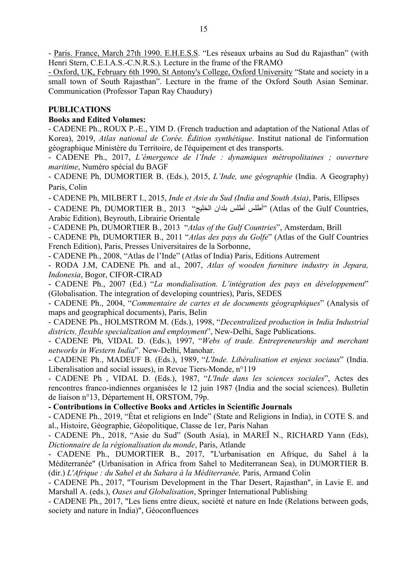- Paris. France, March 27th 1990. E.H.E.S.S. "Les réseaux urbains au Sud du Rajasthan" (with Henri Stern, C.E.I.A.S.-C.N.R.S.). Lecture in the frame of the FRAMO

- Oxford, UK, February 6th 1990, St Antony's College, Oxford University "State and society in a small town of South Rajasthan". Lecture in the frame of the Oxford South Asian Seminar. Communication (Professor Tapan Ray Chaudury)

# **PUBLICATIONS**

## **Books and Edited Volumes:**

- CADENE Ph., ROUX P.-E., YIM D. (French traduction and adaptation of the National Atlas of Korea), 2019, *Atlas national de Corée. Édition synthétique*. Institut national de l'information géographique Ministère du Territoire, de l'équipement et des transports.

- CADENE Ph., 2017, *L'émergence de l'Inde : dynamiques métropolitaines ; ouverture maritime*, Numéro spécial du BAGF

- CADENE Ph, DUMORTIER B. (Eds.), 2015, *L'Inde, une géographie* (India. A Geography) Paris, Colin

- CADENE Ph, MILBERT I., 2015, *Inde et Asie du Sud (India and South Asia)*, Paris, Ellipses

- CADENE Ph, DUMORTIER B., 2013 "أطلس أطلس بلدان الخليج" (Atlas of the Gulf Countries, Arabic Edition), Beyrouth, Librairie Orientale

- CADENE Ph, DUMORTIER B., 2013 "*Atlas of the Gulf Countries*", Amsterdam, Brill

- CADENE Ph, DUMORTIER B., 2011 "*Atlas des pays du Golfe*" (Atlas of the Gulf Countries French Edition), Paris, Presses Universitaires de la Sorbonne,

- CADENE Ph., 2008, "Atlas de l'Inde" (Atlas of India) Paris, Editions Autrement

- RODA J.M, CADENE Ph. and al., 2007, *Atlas of wooden furniture industry in Jepara, Indonesia*, Bogor, CIFOR-CIRAD

- CADENE Ph., 2007 (Ed.) "*La mondialisation. L'intégration des pays en développement*" (Globalisation. The integration of developing countries), Paris, SEDES

- CADENE Ph., 2004, "*Commentaire de cartes et de documents géographiques*" (Analysis of maps and geographical documents), Paris, Belin

- CADENE Ph., HOLMSTROM M. (Eds.), 1998, "*Decentralized production in India Industrial districts, flexible specialization and employment*", New-Delhi, Sage Publications.

- CADENE Ph, VIDAL D. (Eds.), 1997, "*Webs of trade. Entrepreneurship and merchant networks in Western India*". New-Delhi, Manohar.

- CADENE Ph., MADEUF B. (Eds.), 1989, "*L'Inde. Libéralisation et enjeux sociaux*" (India. Liberalisation and social issues), in Revue Tiers-Monde, n°119

- CADENE Ph , VIDAL D. (Eds.), 1987, "*L'Inde dans les sciences sociales*", Actes des rencontres franco-indiennes organisées le 12 juin 1987 (India and the social sciences). Bulletin de liaison n°13, Département H, ORSTOM, 79p.

## **- Contributions in Collective Books and Articles in Scientific Journals**

- CADENE Ph., 2019, "État et religions en Inde" (State and Religions in India), in COTE S. and al., Histoire, Géographie, Géopolitique, Classe de 1er, Paris Nahan

- CADENE Ph., 2018, "Asie du Sud" (South Asia), in MAREÏ N., RICHARD Yann (Eds), *Dictionnaire de la régionalisation du monde*, Paris, Atlande

- CADENE Ph., DUMORTIER B., 2017, "L'urbanisation en Afrique, du Sahel à la Méditerranée" (Urbanisation in Africa from Sahel to Mediterranean Sea), in DUMORTIER B. (dir.) *L'Afrique : du Sahel et du Sahara à la Méditerranée,* Paris, Armand Colin

- CADENE Ph., 2017, "Tourism Development in the Thar Desert, Rajasthan", in Lavie E. and Marshall A. (eds.), *Oases and Globalisation*, Springer International Publishing

- CADENE Ph., 2017, "Les liens entre dieux, société et nature en Inde (Relations between gods, society and nature in India)", Géoconfluences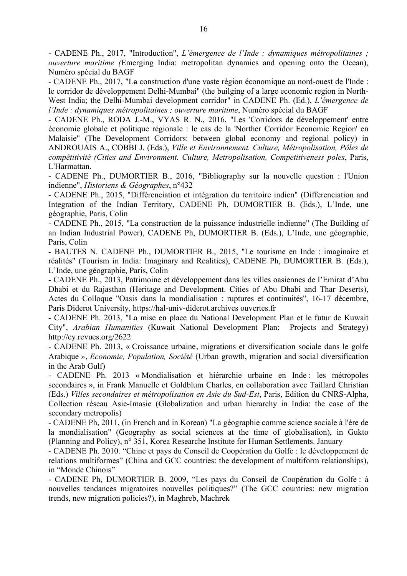- CADENE Ph., 2017, "Introduction", *L'émergence de l'Inde : dynamiques métropolitaines ; ouverture maritime (*Emerging India: metropolitan dynamics and opening onto the Ocean), Numéro spécial du BAGF

- CADENE Ph., 2017, "La construction d'une vaste région économique au nord-ouest de l'Inde : le corridor de développement Delhi-Mumbai" (the builging of a large economic region in North-West India; the Delhi-Mumbai development corridor" in CADENE Ph. (Ed.), *L'émergence de l'Inde : dynamiques métropolitaines ; ouverture maritime*, Numéro spécial du BAGF

- CADENE Ph., RODA J.-M., VYAS R. N., 2016, "Les 'Corridors de développement' entre économie globale et politique régionale : le cas de la 'Norther Corridor Economic Region' en Malaisie" (The Development Corridors: between global economy and regional policy) in ANDROUAIS A., COBBI J. (Eds.), *Ville et Environnement. Culture, Métropolisation, Pôles de compétitivité (Cities and Environment. Culture, Metropolisation, Competitiveness poles*, Paris, L'Harmattan.

- CADENE Ph., DUMORTIER B., 2016, "Bibliography sur la nouvelle question : l'Union indienne", *Historiens & Géographes*, n°432

- CADENE Ph., 2015, "Différenciation et intégration du territoire indien" (Differenciation and Integration of the Indian Territory, CADENE Ph, DUMORTIER B. (Eds.), L'Inde, une géographie, Paris, Colin

- CADENE Ph., 2015, "La construction de la puissance industrielle indienne" (The Building of an Indian Industrial Power), CADENE Ph, DUMORTIER B. (Eds.), L'Inde, une géographie, Paris, Colin

- BAUTES N. CADENE Ph., DUMORTIER B., 2015, "Le tourisme en Inde : imaginaire et réalités" (Tourism in India: Imaginary and Realities), CADENE Ph, DUMORTIER B. (Eds.), L'Inde, une géographie, Paris, Colin

- CADENE Ph., 2013, Patrimoine et développement dans les villes oasiennes de l'Emirat d'Abu Dhabi et du Rajasthan (Heritage and Development. Cities of Abu Dhabi and Thar Deserts), Actes du Colloque "Oasis dans la mondialisation : ruptures et continuités", 16-17 décembre, Paris Diderot University, https://hal-univ-diderot.archives ouvertes.fr

- CADENE Ph. 2013, "La mise en place du National Development Plan et le futur de Kuwait City", *Arabian Humanities* (Kuwait National Development Plan: Projects and Strategy) http://cy.revues.org/2622

- CADENE Ph. 2013, « Croissance urbaine, migrations et diversification sociale dans le golfe Arabique », *Economie, Population, Société* (Urban growth, migration and social diversification in the Arab Gulf)

- CADENE Ph. 2013 « Mondialisation et hiérarchie urbaine en Inde : les métropoles secondaires », in Frank Manuelle et Goldblum Charles, en collaboration avec Taillard Christian (Eds.) *Villes secondaires et métropolisation en Asie du Sud-Est*, Paris, Edition du CNRS-Alpha, Collection réseau Asie-Imasie (Globalization and urban hierarchy in India: the case of the secondary metropolis)

- CADENE Ph, 2011, (in French and in Korean) "La géographie comme science sociale à l'ère de la mondialisation" (Geography as social sciences at the time of globalisation), in Gukto (Planning and Policy), n° 351, Korea Researche Institute for Human Settlements, January

- CADENE Ph. 2010. "Chine et pays du Conseil de Coopération du Golfe : le développement de relations multiformes" (China and GCC countries: the development of multiform relationships), in "Monde Chinois"

- CADENE Ph, DUMORTIER B. 2009, "Les pays du Conseil de Coopération du Golfe : à nouvelles tendances migratoires nouvelles politiques?" (The GCC countries: new migration trends, new migration policies?), in Maghreb, Machrek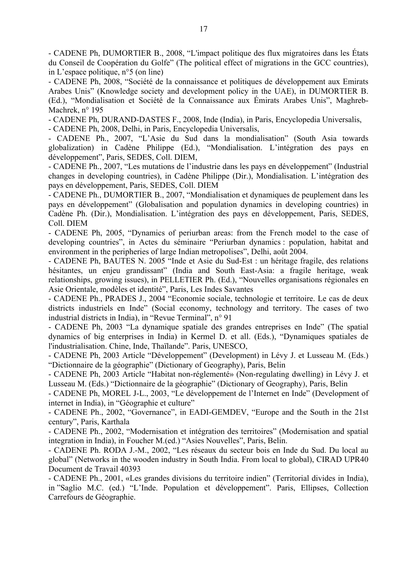- CADENE Ph, DUMORTIER B., 2008, "L'impact politique des flux migratoires dans les États du Conseil de Coopération du Golfe" (The political effect of migrations in the GCC countries), in L'espace politique, n°5 (on line)

- CADENE Ph, 2008, "Société de la connaissance et politiques de développement aux Emirats Arabes Unis" (Knowledge society and development policy in the UAE), in DUMORTIER B. (Ed.), "Mondialisation et Société de la Connaissance aux Émirats Arabes Unis", Maghreb-Machrek, n° 195

- CADENE Ph, DURAND-DASTES F., 2008, Inde (India), in Paris, Encyclopedia Universalis,

- CADENE Ph, 2008, Delhi, in Paris, Encyclopedia Universalis,

- CADENE Ph., 2007, "L'Asie du Sud dans la mondialisation" (South Asia towards globalization) in Cadène Philippe (Ed.), "Mondialisation. L'intégration des pays en développement", Paris, SEDES, Coll. DIEM,

- CADENE Ph., 2007, "Les mutations de l'industrie dans les pays en développement" (Industrial changes in developing countries), in Cadène Philippe (Dir.), Mondialisation. L'intégration des pays en développement, Paris, SEDES, Coll. DIEM

- CADENE Ph., DUMORTIER B., 2007, "Mondialisation et dynamiques de peuplement dans les pays en développement" (Globalisation and population dynamics in developing countries) in Cadène Ph. (Dir.), Mondialisation. L'intégration des pays en développement, Paris, SEDES, Coll. DIEM

- CADENE Ph, 2005, "Dynamics of periurban areas: from the French model to the case of developing countries", in Actes du séminaire "Periurban dynamics : population, habitat and environment in the peripheries of large Indian metropolises", Delhi, août 2004.

- CADENE Ph, BAUTES N. 2005 "Inde et Asie du Sud-Est : un héritage fragile, des relations hésitantes, un enjeu grandissant" (India and South East-Asia: a fragile heritage, weak relationships, growing issues), in PELLETIER Ph. (Ed.), "Nouvelles organisations régionales en Asie Orientale, modèles et identité", Paris, Les Indes Savantes

- CADENE Ph., PRADES J., 2004 "Economie sociale, technologie et territoire. Le cas de deux districts industriels en Inde" (Social economy, technology and territory. The cases of two industrial districts in India), in "Revue Terminal", n° 91

- CADENE Ph, 2003 "La dynamique spatiale des grandes entreprises en Inde" (The spatial dynamics of big enterprises in India) in Kermel D. et all. (Eds.), "Dynamiques spatiales de l'industrialisation. Chine, Inde, Thaïlande". Paris, UNESCO,

- CADENE Ph, 2003 Article "Développement" (Development) in Lévy J. et Lusseau M. (Eds.) "Dictionnaire de la géographie" (Dictionary of Geography), Paris, Belin

- CADENE Ph, 2003 Article "Habitat non-réglementé» (Non-regulating dwelling) in Lévy J. et Lusseau M. (Eds.) "Dictionnaire de la géographie" (Dictionary of Geography), Paris, Belin

- CADENE Ph, MOREL J-L., 2003, "Le développement de l'Internet en Inde" (Development of internet in India), in "Géographie et culture"

- CADENE Ph., 2002, "Governance", in EADI-GEMDEV, "Europe and the South in the 21st century", Paris, Karthala

- CADENE Ph., 2002, "Modernisation et intégration des territoires" (Modernisation and spatial integration in India), in Foucher M.(ed.) "Asies Nouvelles", Paris, Belin.

- CADENE Ph. RODA J.-M., 2002, "Les réseaux du secteur bois en Inde du Sud. Du local au global" (Networks in the wooden industry in South India. From local to global), CIRAD UPR40 Document de Travail 40393

- CADENE Ph., 2001, «Les grandes divisions du territoire indien" (Territorial divides in India), in "Saglio M.C. (ed.) "L'Inde. Population et développement". Paris, Ellipses, Collection Carrefours de Géographie.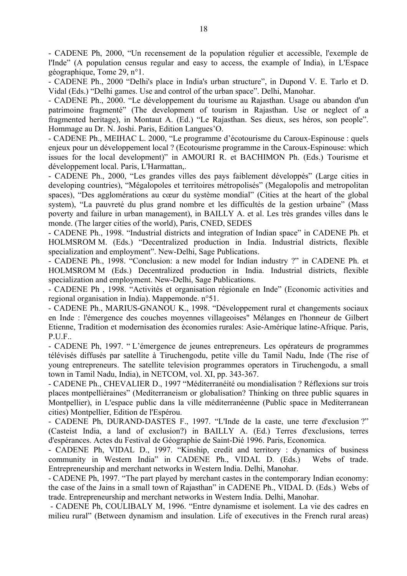- CADENE Ph, 2000, "Un recensement de la population régulier et accessible, l'exemple de l'Inde" (A population census regular and easy to access, the example of India), in L'Espace géographique, Tome 29, n°1.

- CADENE Ph., 2000 "Delhi's place in India's urban structure", in Dupond V. E. Tarlo et D. Vidal (Eds.) "Delhi games. Use and control of the urban space". Delhi, Manohar.

- CADENE Ph., 2000. "Le développement du tourisme au Rajasthan. Usage ou abandon d'un patrimoine fragmenté" (The development of tourism in Rajasthan. Use or neglect of a fragmented heritage), in Montaut A. (Ed.) "Le Rajasthan. Ses dieux, ses héros, son people". Hommage au Dr. N. Joshi. Paris, Edition Langues'O.

- CADENE Ph., MEIHAC L. 2000, "Le programme d'écotourisme du Caroux-Espinouse : quels enjeux pour un développement local ? (Ecotourisme programme in the Caroux-Espinouse: which issues for the local development)" in AMOURI R. et BACHIMON Ph. (Eds.) Tourisme et développement local. Paris, L'Harmattan,.

- CADENE Ph., 2000, "Les grandes villes des pays faiblement développés" (Large cities in developing countries), "Mégalopoles et territoires métropolisés" (Megalopolis and metropolitan spaces), "Des agglomérations au cœur du système mondial" (Cities at the heart of the global system), "La pauvreté du plus grand nombre et les difficultés de la gestion urbaine" (Mass poverty and failure in urban management), in BAILLY A. et al. Les très grandes villes dans le monde. (The larger cities of the world), Paris, CNED, SEDES

- CADENE Ph., 1998. "Industrial districts and integration of Indian space" in CADENE Ph. et HOLMSROM M. (Eds.) "Decentralized production in India. Industrial districts, flexible specialization and employment". New-Delhi, Sage Publications.

- CADENE Ph., 1998. "Conclusion: a new model for Indian industry ?" in CADENE Ph. et HOLMSROM M (Eds.) Decentralized production in India. Industrial districts, flexible specialization and employment. New-Delhi, Sage Publications.

- CADENE Ph , 1998. "Activités et organisation régionale en Inde" (Economic activities and regional organisation in India). Mappemonde. n°51.

- CADENE Ph., MARIUS-GNANOU K., 1998. "Développement rural et changements sociaux en Inde : l'émergence des couches moyennes villageoises" Mélanges en l'honneur de Gilbert Etienne, Tradition et modernisation des économies rurales: Asie-Amérique latine-Afrique. Paris, P.U.F..

- CADENE Ph, 1997. " L'émergence de jeunes entrepreneurs. Les opérateurs de programmes télévisés diffusés par satellite à Tiruchengodu, petite ville du Tamil Nadu, Inde (The rise of young entrepreneurs. The satellite television programmes operators in Tiruchengodu, a small town in Tamil Nadu, India), in NETCOM, vol. XI, pp. 343-367.

- CADENE Ph., CHEVALIER D., 1997 "Méditerranéité ou mondialisation ? Réflexions sur trois places montpelliéraines" (Mediterraneism or globalisation? Thinking on three public squares in Montpellier), in L'espace public dans la ville méditerranéenne (Public space in Mediterranean cities) Montpellier, Edition de l'Espérou.

- CADENE Ph, DURAND-DASTES F., 1997. "L'Inde de la caste, une terre d'exclusion ?" (Casteist India, a land of exclusion?) in BAILLY A. (Ed.) Terres d'exclusions, terres d'espérances. Actes du Festival de Géographie de Saint-Dié 1996. Paris, Economica.

- CADENE Ph, VIDAL D., 1997. "Kinship, credit and territory : dynamics of business community in Western India" in CADENE Ph., VIDAL D. (Eds.) Webs of trade. Entrepreneurship and merchant networks in Western India. Delhi, Manohar.

- CADENE Ph, 1997. "The part played by merchant castes in the contemporary Indian economy: the case of the Jains in a small town of Rajasthan" in CADENE Ph., VIDAL D. (Eds.) Webs of trade. Entrepreneurship and merchant networks in Western India. Delhi, Manohar.

- CADENE Ph, COULIBALY M, 1996. "Entre dynamisme et isolement. La vie des cadres en milieu rural" (Between dynamism and insulation. Life of executives in the French rural areas)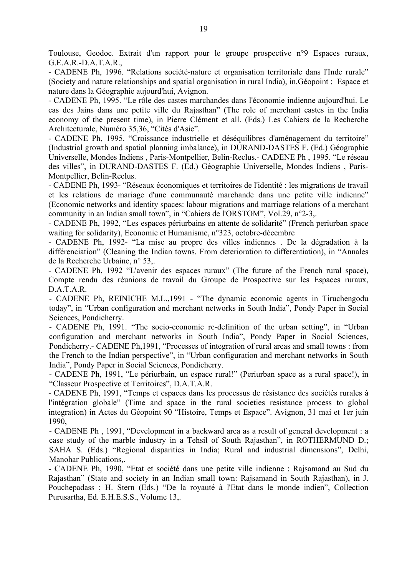Toulouse, Geodoc. Extrait d'un rapport pour le groupe prospective n°9 Espaces ruraux, G.E.A.R.-D.A.T.A.R.,

- CADENE Ph, 1996. "Relations société-nature et organisation territoriale dans l'Inde rurale" (Society and nature relationships and spatial organisation in rural India), in.Géopoint : Espace et nature dans la Géographie aujourd'hui, Avignon.

- CADENE Ph, 1995. "Le rôle des castes marchandes dans l'économie indienne aujourd'hui. Le cas des Jains dans une petite ville du Rajasthan" (The role of merchant castes in the India economy of the present time), in Pierre Clément et all. (Eds.) Les Cahiers de la Recherche Architecturale, Numéro 35,36, "Cités d'Asie".

- CADENE Ph, 1995. "Croissance industrielle et déséquilibres d'aménagement du territoire" (Industrial growth and spatial planning imbalance), in DURAND-DASTES F. (Ed.) Géographie Universelle, Mondes Indiens , Paris-Montpellier, Belin-Reclus.- CADENE Ph , 1995. "Le réseau des villes", in DURAND-DASTES F. (Ed.) Géographie Universelle, Mondes Indiens , Paris-Montpellier, Belin-Reclus.

- CADENE Ph, 1993- "Réseaux économiques et territoires de l'identité : les migrations de travail et les relations de mariage d'une communauté marchande dans une petite ville indienne" (Economic networks and identity spaces: labour migrations and marriage relations of a merchant community in an Indian small town", in "Cahiers de l'ORSTOM", Vol.29, n°2-3,.

- CADENE Ph, 1992, "Les espaces périurbains en attente de solidarité" (French periurban space waiting for solidarity), Economie et Humanisme, n°323, octobre-décembre

- CADENE Ph, 1992- "La mise au propre des villes indiennes . De la dégradation à la différenciation" (Cleaning the Indian towns. From deterioration to differentiation), in "Annales de la Recherche Urbaine, n° 53,.

- CADENE Ph, 1992 "L'avenir des espaces ruraux" (The future of the French rural space), Compte rendu des réunions de travail du Groupe de Prospective sur les Espaces ruraux, D.A.T.A.R.

- CADENE Ph, REINICHE M.L.,1991 - "The dynamic economic agents in Tiruchengodu today", in "Urban configuration and merchant networks in South India", Pondy Paper in Social Sciences, Pondicherry.

- CADENE Ph, 1991. "The socio-economic re-definition of the urban setting", in "Urban configuration and merchant networks in South India", Pondy Paper in Social Sciences, Pondicherry.- CADENE Ph,1991, "Processes of integration of rural areas and small towns : from the French to the Indian perspective", in "Urban configuration and merchant networks in South India", Pondy Paper in Social Sciences, Pondicherry.

- CADENE Ph, 1991, "Le périurbain, un espace rural!" (Periurban space as a rural space!), in "Classeur Prospective et Territoires", D.A.T.A.R.

- CADENE Ph, 1991, "Temps et espaces dans les processus de résistance des sociétés rurales à l'intégration globale" (Time and space in the rural societies resistance process to global integration) in Actes du Géopoint 90 "Histoire, Temps et Espace". Avignon, 31 mai et 1er juin 1990,

- CADENE Ph , 1991, "Development in a backward area as a result of general development : a case study of the marble industry in a Tehsil of South Rajasthan", in ROTHERMUND D.; SAHA S. (Eds.) "Regional disparities in India; Rural and industrial dimensions", Delhi, Manohar Publications,.

- CADENE Ph, 1990, "Etat et société dans une petite ville indienne : Rajsamand au Sud du Rajasthan" (State and society in an Indian small town: Rajsamand in South Rajasthan), in J. Pouchepadass ; H. Stern (Eds.) "De la royauté à l'Etat dans le monde indien", Collection Purusartha, Ed. E.H.E.S.S., Volume 13,.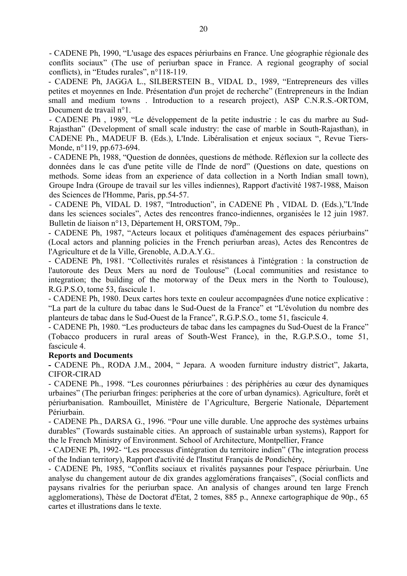- CADENE Ph, 1990, "L'usage des espaces périurbains en France. Une géographie régionale des conflits sociaux" (The use of periurban space in France. A regional geography of social conflicts), in "Etudes rurales", n°118-119.

- CADENE Ph, JAGGA L., SILBERSTEIN B., VIDAL D., 1989, "Entrepreneurs des villes petites et moyennes en Inde. Présentation d'un projet de recherche" (Entrepreneurs in the Indian small and medium towns . Introduction to a research project), ASP C.N.R.S.-ORTOM, Document de travail n°1.

- CADENE Ph , 1989, "Le développement de la petite industrie : le cas du marbre au Sud-Rajasthan" (Development of small scale industry: the case of marble in South-Rajasthan), in CADENE Ph., MADEUF B. (Eds.), L'Inde. Libéralisation et enjeux sociaux ", Revue Tiers-Monde, n°119, pp.673-694.

- CADENE Ph, 1988, "Question de données, questions de méthode. Réflexion sur la collecte des données dans le cas d'une petite ville de l'Inde de nord" (Questions on date, questions on methods. Some ideas from an experience of data collection in a North Indian small town), Groupe Indra (Groupe de travail sur les villes indiennes), Rapport d'activité 1987-1988, Maison des Sciences de l'Homme, Paris, pp.54-57.

- CADENE Ph, VIDAL D. 1987, "Introduction", in CADENE Ph , VIDAL D. (Eds.),"L'Inde dans les sciences sociales", Actes des rencontres franco-indiennes, organisées le 12 juin 1987. Bulletin de liaison n°13, Département H, ORSTOM, 79p..

- CADENE Ph, 1987, "Acteurs locaux et politiques d'aménagement des espaces périurbains" (Local actors and planning policies in the French periurban areas), Actes des Rencontres de l'Agriculture et de la Ville, Grenoble, A.D.A.Y.G..

- CADENE Ph, 1981. "Collectivités rurales et résistances à l'intégration : la construction de l'autoroute des Deux Mers au nord de Toulouse" (Local communities and resistance to integration; the building of the motorway of the Deux mers in the North to Toulouse), R.G.P.S.O, tome 53, fascicule 1.

- CADENE Ph, 1980. Deux cartes hors texte en couleur accompagnées d'une notice explicative : "La part de la culture du tabac dans le Sud-Ouest de la France" et "L'évolution du nombre des planteurs de tabac dans le Sud-Ouest de la France", R.G.P.S.O., tome 51, fascicule 4.

- CADENE Ph, 1980. "Les producteurs de tabac dans les campagnes du Sud-Ouest de la France" (Tobacco producers in rural areas of South-West France), in the, R.G.P.S.O., tome 51, fascicule 4.

## **Reports and Documents**

**-** CADENE Ph., RODA J.M., 2004, " Jepara. A wooden furniture industry district", Jakarta, CIFOR-CIRAD

- CADENE Ph., 1998. "Les couronnes périurbaines : des périphéries au cœur des dynamiques urbaines" (The periurban fringes: peripheries at the core of urban dynamics). Agriculture, forêt et périurbanisation. Rambouillet, Ministère de l'Agriculture, Bergerie Nationale, Département Périurbain.

- CADENE Ph., DARSA G., 1996. "Pour une ville durable. Une approche des systèmes urbains durables" (Towards sustainable cities. An approach of sustainable urban systems), Rapport for the le French Ministry of Environment. School of Architecture, Montpellier, France

- CADENE Ph, 1992- "Les processus d'intégration du territoire indien" (The integration process of the Indian territory), Rapport d'activité de l'Institut Français de Pondichéry,

- CADENE Ph, 1985, "Conflits sociaux et rivalités paysannes pour l'espace périurbain. Une analyse du changement autour de dix grandes agglomérations françaises", (Social conflicts and paysans rivalries for the periurban space. An analysis of changes around ten large French agglomerations), Thèse de Doctorat d'Etat, 2 tomes, 885 p., Annexe cartographique de 90p., 65 cartes et illustrations dans le texte.